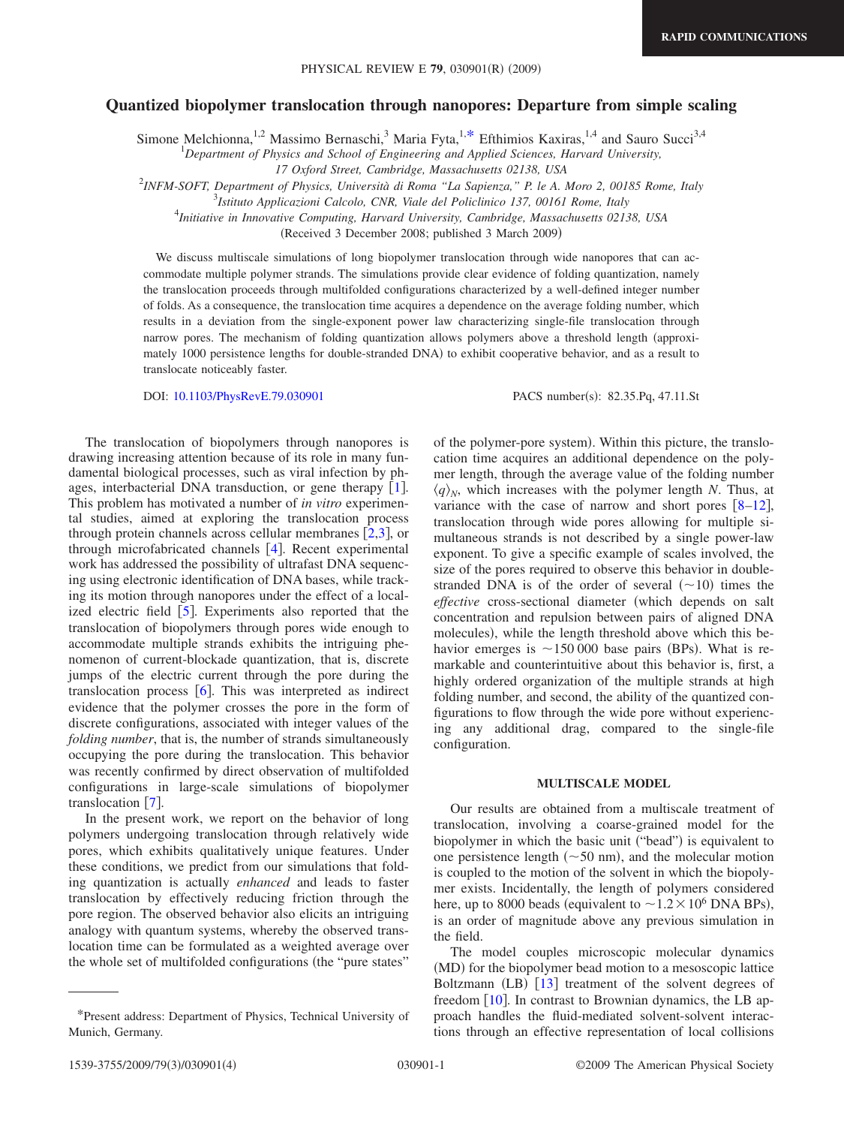# **Quantized biopolymer translocation through nanopores: Departure from simple scaling**

Simone Melchionna,<sup>1,2</sup> Massimo Bernaschi,<sup>3</sup> Maria Fyta,<sup>1[,\\*](#page-0-0)</sup> Efthimios Kaxiras,<sup>1,4</sup> and Sauro Succi<sup>3,4</sup>

1 *Department of Physics and School of Engineering and Applied Sciences, Harvard University,*

2 *INFM-SOFT, Department of Physics, Università di Roma "La Sapienza," P. le A. Moro 2, 00185 Rome, Italy*

3 *Istituto Applicazioni Calcolo, CNR, Viale del Policlinico 137, 00161 Rome, Italy*

4 *Initiative in Innovative Computing, Harvard University, Cambridge, Massachusetts 02138, USA*

Received 3 December 2008; published 3 March 2009-

We discuss multiscale simulations of long biopolymer translocation through wide nanopores that can accommodate multiple polymer strands. The simulations provide clear evidence of folding quantization, namely the translocation proceeds through multifolded configurations characterized by a well-defined integer number of folds. As a consequence, the translocation time acquires a dependence on the average folding number, which results in a deviation from the single-exponent power law characterizing single-file translocation through narrow pores. The mechanism of folding quantization allows polymers above a threshold length (approximately 1000 persistence lengths for double-stranded DNA) to exhibit cooperative behavior, and as a result to translocate noticeably faster.

DOI: [10.1103/PhysRevE.79.030901](http://dx.doi.org/10.1103/PhysRevE.79.030901)

PACS number(s): 82.35.Pq, 47.11.St

The translocation of biopolymers through nanopores is drawing increasing attention because of its role in many fundamental biological processes, such as viral infection by phages, interbacterial DNA transduction, or gene therapy  $\lceil 1 \rceil$  $\lceil 1 \rceil$  $\lceil 1 \rceil$ . This problem has motivated a number of *in vitro* experimental studies, aimed at exploring the translocation process through protein channels across cellular membranes  $[2,3]$  $[2,3]$  $[2,3]$  $[2,3]$ , or through microfabricated channels  $[4]$  $[4]$  $[4]$ . Recent experimental work has addressed the possibility of ultrafast DNA sequencing using electronic identification of DNA bases, while tracking its motion through nanopores under the effect of a localized electric field  $\lceil 5 \rceil$  $\lceil 5 \rceil$  $\lceil 5 \rceil$ . Experiments also reported that the translocation of biopolymers through pores wide enough to accommodate multiple strands exhibits the intriguing phenomenon of current-blockade quantization, that is, discrete jumps of the electric current through the pore during the translocation process  $\lceil 6 \rceil$  $\lceil 6 \rceil$  $\lceil 6 \rceil$ . This was interpreted as indirect evidence that the polymer crosses the pore in the form of discrete configurations, associated with integer values of the *folding number*, that is, the number of strands simultaneously occupying the pore during the translocation. This behavior was recently confirmed by direct observation of multifolded configurations in large-scale simulations of biopolymer translocation  $\lceil 7 \rceil$  $\lceil 7 \rceil$  $\lceil 7 \rceil$ .

In the present work, we report on the behavior of long polymers undergoing translocation through relatively wide pores, which exhibits qualitatively unique features. Under these conditions, we predict from our simulations that folding quantization is actually *enhanced* and leads to faster translocation by effectively reducing friction through the pore region. The observed behavior also elicits an intriguing analogy with quantum systems, whereby the observed translocation time can be formulated as a weighted average over the whole set of multifolded configurations (the "pure states"

of the polymer-pore system). Within this picture, the translocation time acquires an additional dependence on the polymer length, through the average value of the folding number  $\langle q \rangle$ <sub>*N*</sub>, which increases with the polymer length *N*. Thus, at variance with the case of narrow and short pores  $\lceil 8-12 \rceil$  $\lceil 8-12 \rceil$  $\lceil 8-12 \rceil$ , translocation through wide pores allowing for multiple simultaneous strands is not described by a single power-law exponent. To give a specific example of scales involved, the size of the pores required to observe this behavior in doublestranded DNA is of the order of several  $(\sim 10)$  times the *effective* cross-sectional diameter (which depends on salt concentration and repulsion between pairs of aligned DNA molecules), while the length threshold above which this behavior emerges is  $\sim$ 150 000 base pairs (BPs). What is remarkable and counterintuitive about this behavior is, first, a highly ordered organization of the multiple strands at high folding number, and second, the ability of the quantized configurations to flow through the wide pore without experiencing any additional drag, compared to the single-file configuration.

## **MULTISCALE MODEL**

Our results are obtained from a multiscale treatment of translocation, involving a coarse-grained model for the biopolymer in which the basic unit ("bead") is equivalent to one persistence length  $(\sim 50 \text{ nm})$ , and the molecular motion is coupled to the motion of the solvent in which the biopolymer exists. Incidentally, the length of polymers considered here, up to 8000 beads (equivalent to  $\sim$  1.2  $\times$  10<sup>6</sup> DNA BPs), is an order of magnitude above any previous simulation in the field.

The model couples microscopic molecular dynamics (MD) for the biopolymer bead motion to a mesoscopic lattice Boltzmann (LB) [[13](#page-3-9)] treatment of the solvent degrees of freedom [[10](#page-3-10)]. In contrast to Brownian dynamics, the LB approach handles the fluid-mediated solvent-solvent interactions through an effective representation of local collisions

*<sup>17</sup> Oxford Street, Cambridge, Massachusetts 02138, USA*

<span id="page-0-0"></span><sup>\*</sup>Present address: Department of Physics, Technical University of Munich, Germany.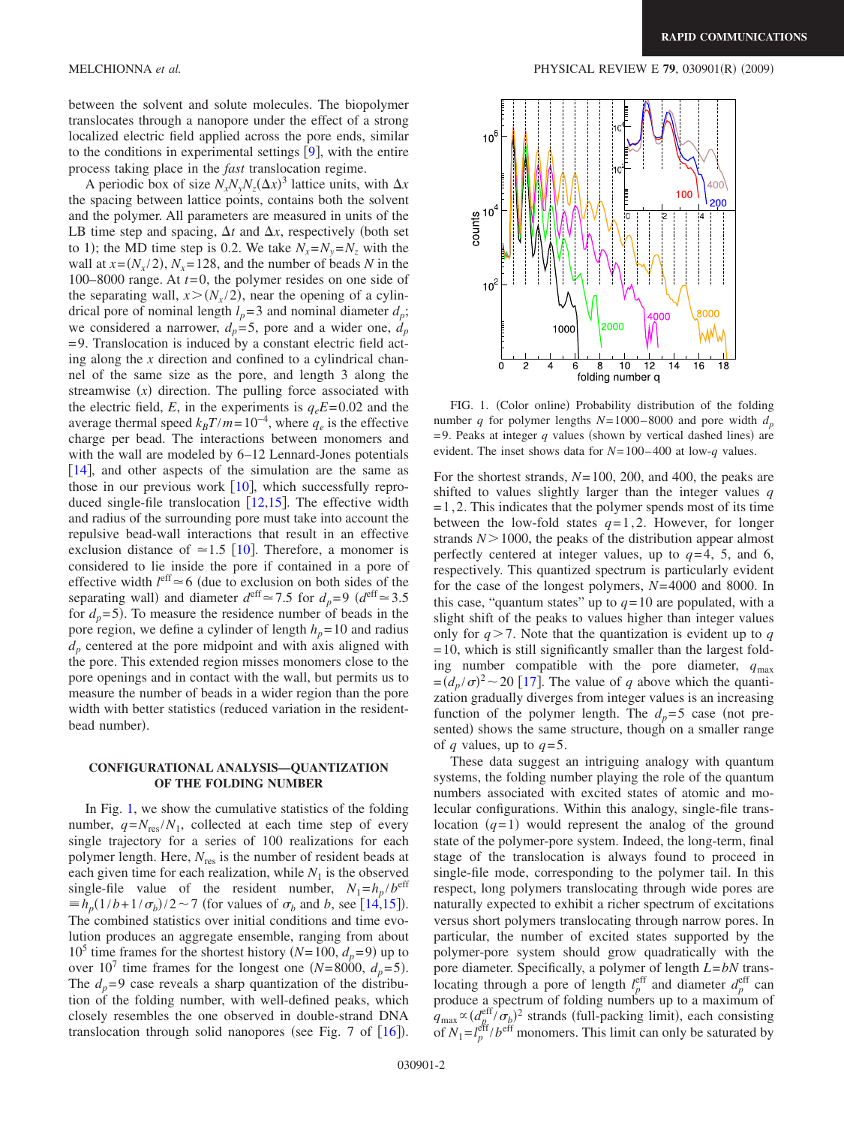between the solvent and solute molecules. The biopolymer translocates through a nanopore under the effect of a strong localized electric field applied across the pore ends, similar to the conditions in experimental settings  $[9]$  $[9]$  $[9]$ , with the entire process taking place in the *fast* translocation regime.

A periodic box of size  $N_x N_y N_z (\Delta x)^3$  lattice units, with  $\Delta x$ the spacing between lattice points, contains both the solvent and the polymer. All parameters are measured in units of the LB time step and spacing,  $\Delta t$  and  $\Delta x$ , respectively (both set to 1); the MD time step is 0.2. We take  $N_x = N_y = N_z$  with the wall at  $x = (N_x/2)$ ,  $N_x = 128$ , and the number of beads *N* in the 100–8000 range. At  $t=0$ , the polymer resides on one side of the separating wall,  $x > (N_x/2)$ , near the opening of a cylindrical pore of nominal length  $l_p$ = 3 and nominal diameter  $d_p$ ; we considered a narrower,  $d_p = 5$ , pore and a wider one,  $d_p$ = 9. Translocation is induced by a constant electric field acting along the *x* direction and confined to a cylindrical channel of the same size as the pore, and length 3 along the streamwise  $(x)$  direction. The pulling force associated with the electric field, *E*, in the experiments is  $q_eE = 0.02$  and the average thermal speed  $k_B T/m = 10^{-4}$ , where  $q_e$  is the effective charge per bead. The interactions between monomers and with the wall are modeled by  $6-12$  Lennard-Jones potentials  $[14]$  $[14]$  $[14]$ , and other aspects of the simulation are the same as those in our previous work  $[10]$  $[10]$  $[10]$ , which successfully reproduced single-file translocation  $[12,15]$  $[12,15]$  $[12,15]$  $[12,15]$ . The effective width and radius of the surrounding pore must take into account the repulsive bead-wall interactions that result in an effective exclusion distance of  $\simeq$  1.5 [[10](#page-3-10)]. Therefore, a monomer is considered to lie inside the pore if contained in a pore of effective width  $l<sup>eff</sup> \approx 6$  (due to exclusion on both sides of the separating wall) and diameter  $d^{\text{eff}} \approx 7.5$  for  $d_p = 9$   $(d^{\text{eff}} \approx 3.5$ for  $d_p = 5$ ). To measure the residence number of beads in the pore region, we define a cylinder of length  $h_p = 10$  and radius *dp* centered at the pore midpoint and with axis aligned with the pore. This extended region misses monomers close to the pore openings and in contact with the wall, but permits us to measure the number of beads in a wider region than the pore width with better statistics (reduced variation in the residentbead number).

# **CONFIGURATIONAL ANALYSIS—QUANTIZATION OF THE FOLDING NUMBER**

In Fig. [1,](#page-1-0) we show the cumulative statistics of the folding number,  $q = N_{res}/N_1$ , collected at each time step of every single trajectory for a series of 100 realizations for each polymer length. Here,  $N_{res}$  is the number of resident beads at each given time for each realization, while  $N_1$  is the observed single-file value of the resident number,  $N_1 = h_p / b^{\text{eff}}$  $\equiv h_p(1/b + 1/\sigma_b)/2 \sim 7$  (for values of  $\sigma_b$  and *b*, see [[14](#page-3-12)[,15](#page-3-13)]). The combined statistics over initial conditions and time evolution produces an aggregate ensemble, ranging from about 10<sup>5</sup> time frames for the shortest history  $(N=100, d_p=9)$  up to over  $10^7$  time frames for the longest one *(N*=8000,  $d_p$ =5). The  $d_p = 9$  case reveals a sharp quantization of the distribution of the folding number, with well-defined peaks, which closely resembles the one observed in double-strand DNA translocation through solid nanopores (see Fig. 7 of  $[16]$  $[16]$  $[16]$ ).

<span id="page-1-0"></span>

FIG. 1. (Color online) Probability distribution of the folding number *q* for polymer lengths  $N=1000-8000$  and pore width  $d_p$  $= 9$ . Peaks at integer  $q$  values (shown by vertical dashed lines) are evident. The inset shows data for *N*= 100– 400 at low-*q* values.

For the shortest strands, *N*= 100, 200, and 400, the peaks are shifted to values slightly larger than the integer values *q*  $=1,2$ . This indicates that the polymer spends most of its time between the low-fold states  $q=1,2$ . However, for longer strands  $N > 1000$ , the peaks of the distribution appear almost perfectly centered at integer values, up to  $q=4$ , 5, and 6, respectively. This quantized spectrum is particularly evident for the case of the longest polymers, *N*= 4000 and 8000. In this case, "quantum states" up to  $q=10$  are populated, with a slight shift of the peaks to values higher than integer values only for  $q > 7$ . Note that the quantization is evident up to q  $= 10$ , which is still significantly smaller than the largest folding number compatible with the pore diameter,  $q_{\text{max}}$  $=(d_p/\sigma)^2$  ~ 20 [[17](#page-3-15)]. The value of *q* above which the quantization gradually diverges from integer values is an increasing function of the polymer length. The  $d_p = 5$  case (not presented) shows the same structure, though on a smaller range of *q* values, up to  $q=5$ .

These data suggest an intriguing analogy with quantum systems, the folding number playing the role of the quantum numbers associated with excited states of atomic and molecular configurations. Within this analogy, single-file translocation  $(q=1)$  would represent the analog of the ground state of the polymer-pore system. Indeed, the long-term, final stage of the translocation is always found to proceed in single-file mode, corresponding to the polymer tail. In this respect, long polymers translocating through wide pores are naturally expected to exhibit a richer spectrum of excitations versus short polymers translocating through narrow pores. In particular, the number of excited states supported by the polymer-pore system should grow quadratically with the pore diameter. Specifically, a polymer of length *L*=*bN* translocating through a pore of length  $l_p^{\text{eff}}$  and diameter  $d_p^{\text{eff}}$  can produce a spectrum of folding numbers up to a maximum of  $q_{\text{max}} \propto (d_{p}^{\text{eff}}/\sigma_{p})^{2}$  strands (full-packing limit), each consisting of  $N_1 = l_p^{\text{eff}}/b^{\text{eff}}$  monomers. This limit can only be saturated by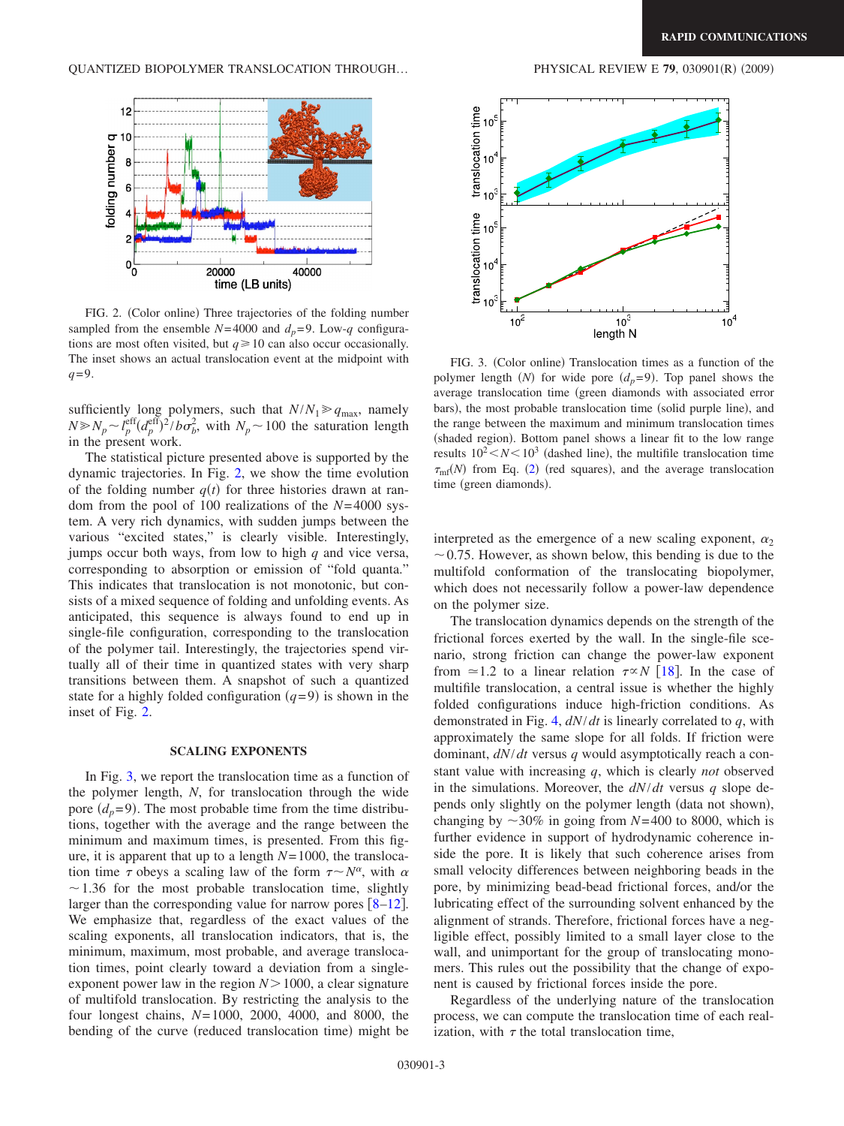<span id="page-2-0"></span>

FIG. 2. (Color online) Three trajectories of the folding number sampled from the ensemble  $N=4000$  and  $d_p=9$ . Low-*q* configurations are most often visited, but  $q \ge 10$  can also occur occasionally. The inset shows an actual translocation event at the midpoint with *q*=9.

sufficiently long polymers, such that  $N/N_1 \geq q_{\text{max}}$ , namely  $N \gg N_p \sim l_p^{\text{eff}} (d_p^{\text{eff}})^2/b \sigma_b^2$ , with  $N_p \sim 100$  the saturation length in the present work.

The statistical picture presented above is supported by the dynamic trajectories. In Fig. [2,](#page-2-0) we show the time evolution of the folding number  $q(t)$  for three histories drawn at random from the pool of 100 realizations of the *N*= 4000 system. A very rich dynamics, with sudden jumps between the various "excited states," is clearly visible. Interestingly, jumps occur both ways, from low to high *q* and vice versa, corresponding to absorption or emission of "fold quanta." This indicates that translocation is not monotonic, but consists of a mixed sequence of folding and unfolding events. As anticipated, this sequence is always found to end up in single-file configuration, corresponding to the translocation of the polymer tail. Interestingly, the trajectories spend virtually all of their time in quantized states with very sharp transitions between them. A snapshot of such a quantized state for a highly folded configuration  $(q=9)$  is shown in the inset of Fig. [2.](#page-2-0)

### **SCALING EXPONENTS**

In Fig. [3,](#page-2-1) we report the translocation time as a function of the polymer length, *N*, for translocation through the wide pore  $(d_p=9)$ . The most probable time from the time distributions, together with the average and the range between the minimum and maximum times, is presented. From this figure, it is apparent that up to a length *N*= 1000, the translocation time  $\tau$  obeys a scaling law of the form  $\tau \sim N^{\alpha}$ , with  $\alpha$  $\sim$  1.36 for the most probable translocation time, slightly larger than the corresponding value for narrow pores  $\lceil 8-12 \rceil$  $\lceil 8-12 \rceil$  $\lceil 8-12 \rceil$ . We emphasize that, regardless of the exact values of the scaling exponents, all translocation indicators, that is, the minimum, maximum, most probable, and average translocation times, point clearly toward a deviation from a singleexponent power law in the region  $N > 1000$ , a clear signature of multifold translocation. By restricting the analysis to the four longest chains, *N*= 1000, 2000, 4000, and 8000, the bending of the curve (reduced translocation time) might be

<span id="page-2-1"></span>

FIG. 3. (Color online) Translocation times as a function of the polymer length *(N)* for wide pore  $(d_p=9)$ . Top panel shows the average translocation time green diamonds with associated error bars), the most probable translocation time (solid purple line), and the range between the maximum and minimum translocation times (shaded region). Bottom panel shows a linear fit to the low range results  $10^2 < N < 10^3$  (dashed line), the multifile translocation time  $\tau_{\rm mf}(N)$  from Eq. ([2](#page-3-18)) (red squares), and the average translocation time (green diamonds).

interpreted as the emergence of a new scaling exponent,  $\alpha_2$  $\sim$  0.75. However, as shown below, this bending is due to the multifold conformation of the translocating biopolymer, which does not necessarily follow a power-law dependence on the polymer size.

The translocation dynamics depends on the strength of the frictional forces exerted by the wall. In the single-file scenario, strong friction can change the power-law exponent from  $\approx$ 1.2 to a linear relation  $\tau \propto N$  [[18](#page-3-16)]. In the case of multifile translocation, a central issue is whether the highly folded configurations induce high-friction conditions. As demonstrated in Fig. [4,](#page-3-17) *dN*/*dt* is linearly correlated to *q*, with approximately the same slope for all folds. If friction were dominant, *dN*/*dt* versus *q* would asymptotically reach a constant value with increasing *q*, which is clearly *not* observed in the simulations. Moreover, the *dN*/*dt* versus *q* slope depends only slightly on the polymer length (data not shown), changing by  $\sim$  30% in going from *N*=400 to 8000, which is further evidence in support of hydrodynamic coherence inside the pore. It is likely that such coherence arises from small velocity differences between neighboring beads in the pore, by minimizing bead-bead frictional forces, and/or the lubricating effect of the surrounding solvent enhanced by the alignment of strands. Therefore, frictional forces have a negligible effect, possibly limited to a small layer close to the wall, and unimportant for the group of translocating monomers. This rules out the possibility that the change of exponent is caused by frictional forces inside the pore.

Regardless of the underlying nature of the translocation process, we can compute the translocation time of each realization, with  $\tau$  the total translocation time,